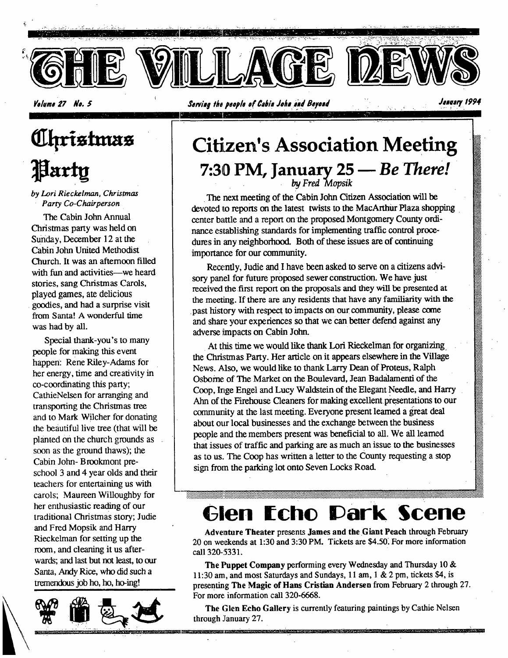

-195

*<u>Uhristmas</u>* Party

*by Lori Rieckelman, Christmas Party Co-Chairperson* 

The Cabin John Annual Christmas party was held on Sunday, December 12 at the Cabin John United Methodist Church. It was an afternoon filled with fun and activities--we heard. stories, sang Christmas Carols, played games, ate delicious goodies, and had a surprise visit from Santa! A wonderful time was had by all.

Special thank-you's to many people for making this event happen: Rene Riley-Adams for her energy, time and creativity in co-coordinating this party; CathieNelsen for arranging and transporting the Christmas tree and to Mark Wilcher for donating the beautiful live tree (that will be planted on the church grounds as soon as the ground thaws); the Cabin John- Brookmont preschool 3 and 4 year olds and their teachers for entertaining us with carols; Maureen Willoughby for her enthusiastic reading of our traditional Christmas story; Judie and Fred Mopsik and Harry Rieckelman for setting up the room, and cleaning it us afterwards; and last but not least, to our Santa, Andy Rice, who did such a tremendous job ho, ho, ho-ing!



## **Citizen's Association Meeting 7:30 PM, January 25--** *Be There! by Fred Mopsik*

The next meeting of the Cabin John Citizen Association will be devoted to reports on the latest twists to the MacArthur Plaza shopping center battle and a report on the proposed Montgomery County ordinance establishing standards for implementing traffic control procedures in any neighborhood. Both of these issues are of continuing importance for our community.

Recently, Judie and I have been asked to serve on a citizens advisory panel for future proposed sewer construction. We have just received the first report on the proposals and they will be presented at the meeting. If there are any residents that have any familiarity with the past history with respect to impacts on our community, please come and share your experiences so that we Can better defend against any adverse impacts on Cabin John.

At this time we would like thank Lori Rieckelman for organizing, the Christmas Party. Her article **on it** appears elsewhere in the Village News. Also, we would like to thank Larry Dean of Proteus, Ralph Osborne of The Market on the Boulevard, Jean Badalamenti of the Coop, Inge Engel and Lucy Waldstein of the Elegant Needle, and Harry Ahn of the Firehouse Cleaners for making excellent presentations **to our**  community at the last meeting. Everyone present learned a great deal about our local businesses and the exchange between the business people and the members present was beneficial to all. We all learned that issues of traffic and parking are as much an issue to the businesses as to us. The Coop has written a letter to the County requesting a stop sign from the parking lot onto Seven Locks Road.

# **Glen Echo Dark Scene**

**Adveature Theater presents James and the Giant Peach through February 20 on weekends at 1:30 and 3:30 PM.** Tickets are \$4.50~ For more **information**  call **320-5331.** 

**The Puppet Company** performing every Wednesday and Thursday **10 & 11:30 am, and most Saturdays and Sundays, 11 am, 1 & 2 pro, tickets \$4, is presenting The Magic of Hans Cristian Andersen from February 2 through 27. For more information call 320-6668.** 

The Glen Echo Gallery is currently featuring paintings by Cathie Nelsen through January 27.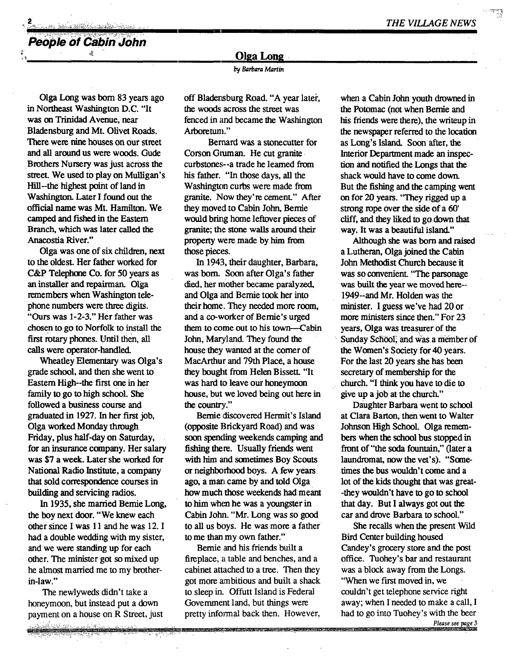**People of Cabin John** 

, , . ,

### **Olga Long.**

by Barbara Martin

Olga Long was bom 83 years ago in Northeast Washington D.C. "It was on Trinidad Avenue, near Bladensburg and Mt. Olivet Roads. There were nine houses on our street and all around us were woods. Gude Brothers Nursery was just across the street. We used to play on Mulligan's Hill--the highest point of land in Washington. Later I found out the official name was Mt. Hamilton. We camped and fished in the Eastern Branch, which was later called the Anacostia River."

Olga was one of six children, next to the oldest. Her father worked for C&P Telephone Co. for 50 years as an installer and repairman. Olga remembers when Washington telephone numbers were three digits. "Ours was 1-2-3." Her father was chosen to go to Norfolk to install the first rotary phones. Until then, all calls were operator-handled.

Wheafley Elementary was Olga's grade school, and then she went to Eastern High--the first one in her family to go to high school. She followed a business course and graduated in 1927. In her first job, Olga worked Monday through Friday, plus half-day on Saturday, for an insurance company. Her salary was \$7 a week. Later she worked for National Radio Institute, a company that sold correspondence courses in building and servicing radios.

In 1935, she married Bernie Long, the boy next door. "We knew each other since I was 11 and he was 12. I had a double wedding with my sister, and we were standing up for each other. The minister got so mixed up he almost married me to my brotherin-law."

The newlyweds didn't take a honeymoon, but instead put a down payment on a house on R Street, just<br>
and the street of the street of the street of the street of the street of the street of the street of the street of the street of the street of the street of the street of the street o

<u> Marcio esperanto de la prosec</u>

off Bladensburg Road. "A year later, the woods across the street was fenced in and became the Washington Arboretum."

Bernard was a stonecutter for Corson Gruman. He cut granite curbstones--a trade he learned from his father. "In those days, all the Washington curbs were made from granite. Now they're cement." After they moved to Cabin John, Bernie would bring home leftover pieces of granite; the stone walls around their property were made by him from those pieces.

In 1943, their daughter, Barbara, was born. Soon after Olga's father died, her mother became paralyzed, and Olga and Bernie took her into their home. They needed more room, and a co-worker of Bemie's urged them to come out to his town---Cabin John, Maryland. They found the house they wanted at the corner of MacArthur and 79th Place, a house they bought from Helen Bissett. "It was hard to leave our honeymoon house, but we loved being out here in the country.."

Bernie discovered Hermit's Island (opposite Brickyard Road) and was soon spending weekends camping and fishing there. Usually friends went with him and sometimes Boy Scouts or neighborhood boys. A few years ago, a man came by and told Olga how much those weekends had meant to him when he was a youngster in Cabin Jolm. "Mr. Long was so good to all us boys. He was more a father to me than my own father."

Bernie and his friends built a fireplace, a table and benches, and a cabinet attached to a tree. Then they got more ambitious and built a shack to sleep in. Offutt Island is Federal Government land, but things were pretty informal back then. However, when a Cabin John youth drowned in the Potomac (not when Bernie and his friends were there), the writeup in the newspaper referred to the location as Long's Island. Soon after, the Interior Department made an inspection and notified the Longs that the shack would have to come down. But the fishing and the camping went on for 20 years. "They rigged up a strong rope over the side of a 60' cliff, and they liked to go down that way. It was a beautiful island."

Although she was born and raised a Lutheran, Olga joined the Cabin John Methodist Church because it was so convenient. "The parsonage was built the year we moved here-- 1949--and Mr. Holden was the minister. I guess we've had 20 or more ministers since then." For 23 years, Olga was treasurer of the Sunday School, and was a member of the Women's Society for 40 years. For the last 20 years she has been secretary of membership for the church. "I think you have to die to give up a job at the church."

Daughter Barbara went to school at Clara Barton, then went to Walter Johnson High School. Olga remembers when the school bus stopped in front of "the soda fountain," (later a laundromat, now the vet's). "Sometimes the bus wouldn't come and a lot of the kids thought that was great- -they wouldn't have to go to school that day. But I always got out the car and drove Barbara to school."

She recalls when the present Wild Bird Center building housed Candey's grocery store and the post office. Tuohey's bar and restaurant was a block away from the Longs. "When we first moved in, we couldn't get telephone service right away; when I needed to make a call, I had to go into Tuohey's with the beer

Please see page 3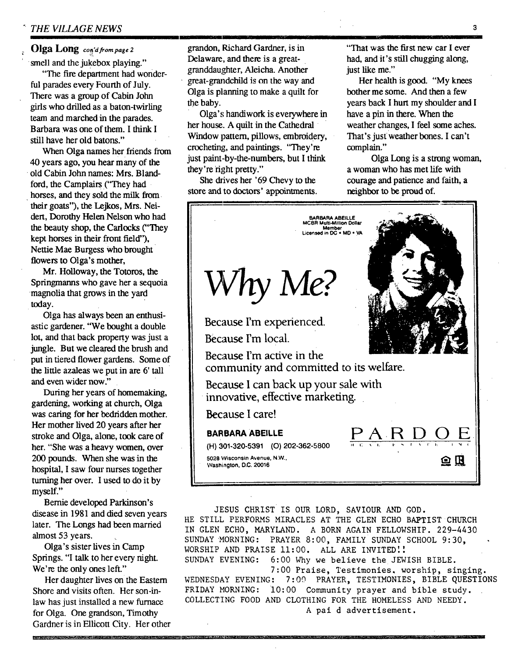### Olga Long *con'd from page 2*

smell and the jukebox playing."

"The fire department had wonderful parades every Fourth of July. There was a group of Cabin John girls who drilled as a baton-twirling team and marched in the parades. Barbara was one of them. I think I still have her old batons."

When Olga names her friends from 40 years ago, you hear many of the old Cabin John names: Mrs. Blandford, the Camplairs ("They had horses, and they sold the milk from their goats"), the Lejkos, Mrs. Neidert, Dorothy Helen Nelson who had the beauty shop, the Carlocks ("They kept horses in their front field"), Nettie Mae Burgess who brought flowers to Olga's mother,

Mr. Holloway, the Totoros, the Springmanns who gave her a sequoia magnolia that grows in the yard today.

Olga has always been an enthusiastic gardener. "We bought a double lot, and that back property was just a jungle. But we cleared the brush and put in tiered flower gardens. Some of the tittle azaleas we put in are 6' tall and even wider now."

During her years of homemaking, gardening, working at church, Olga was caring for her bedridden mother. Her mother lived 20 years after her stroke and Olga, alone, took care of her. "She was a heavy women, over 200 pounds. When she was in the hospital, I saw four nurses together turning her over. I used to do it by myself."

Bernie developed Parkinson's disease in 1981 and died seven years later. The Longs had been married almost 53 years.

Olga's sister lives in Camp Springs. "I talk to her every night. We're the only ones left."

Her daughter lives on the Eastem Shore and visits often. Her son-inlaw has just installed a new furnace for Olga. One grandson, Timothy Gardner is in Ellicott City. Her other

PERTY RANGE STATISTICS IN THE R

grandon, Richard Gardner, is in Delaware, and there is a greatgranddaughter, Aleicha. Another great-grandchild is on the way and Olga is planning to make a quilt for the baby.

Olga's handiwork is everywhere in her house. A quilt in the Cathedral Window pattern, pillows, embroidery, crocheting, and paintings. "They're just paint-by-the-numbers, but I think they're right pretty."

She drives her '69 Chevy to the store and to doctors' appointments.

"That was the first new car I ever had, and it's still chugging along, just like me."

Her health is good. "My knees bother me some. And then a few years back I hurt my shoulder and I have a pin in there. When the weather changes, I feel some aches. That's just weather bones. I can't complain."

Olga Long is a strong woman, a woman who has met life with courage and patience and faith, a neighbor to be proud of.



JESUS CHRIST IS OUR LORD, SAVIOUR AND GOD. HE STILL PERFORMS MIRACLES AT THE GLEN ECHO BAPTIST CHURCH IN GLEN ECHO, MARYLAND. A BORN AGAIN FELLOWSHIP. 229-4430 SUNDAY MORNING: PRAYER 8:00, FAMILY SUNDAY SCHOOL 9:30, WORSHIP AND PRAISE 11:00. ALL ARE INVITED!! SUNDAY EVENING: 6:00 Why we believe the JEWISH BIBLE. 7:00 Praise, Testimonies. worship, singing. WEDNESDAY EVENING: 7:00 PRAYER, TESTIMONIES, BIBLE QUESTIONS FRIDAY MORNING: 10:00 Community prayer and bible study. COLLECTING FOOD AND CLOTHING FOR THE HOMELESS AND NEEDY. A pal d advertisement.

**3**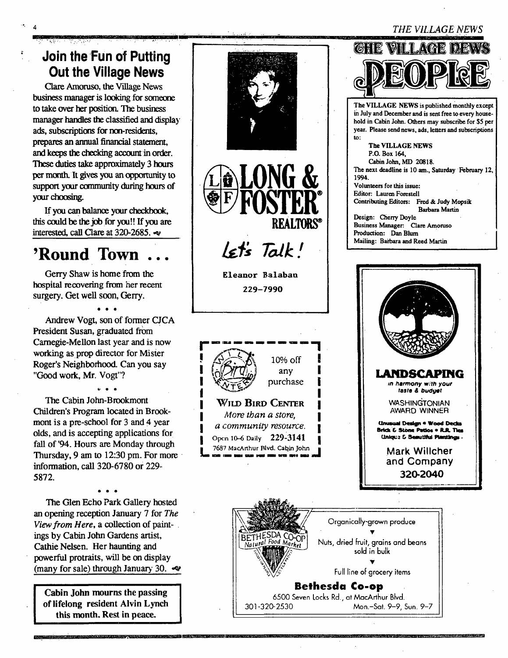### *THE kTLLAGE NEWS*

## **Join the Fun of Putting Out the Village News**

- II in the second contract of the second contract of the second contract of the second contract of the second

4

Clare Amoruso, the Village News business manager is looking for someone to take over her position. The business manager handles the classified and display ads, subscriptions for non-residents, prepares an ammal financial statement, and keeps the checking account in order. These duties take approximately 3 hours per month. It gives you an opportunity to support your community during hours of your choosing.

If you can balance your checkbook, this could be the job for you!! ffyou are interested, call Clare at 320-2685.

# **'Round Town...**

Gerry Shaw is home from the hospital recovering from her recent surgery. Get well soon, Gerry.

Andrew Vogt, son of former CJCA President Susan, graduated from Carnegie-Mellon last year and is now working as prop director for Mister Roger's Neighborhood. Can you say "Good work, Mr. Vogt"?

t. • • The Cabin John-Brookmont Children's Program located in Brookmont is a pre-school for 3 and 4 year olds, and is accepting applications for fall of '94. Hours are Monday through Thursday, 9 am to 12:30 pm. For more information, call 320-6780 or 229- 5872.

The Glen Echo Park Gallery hosted an opening reception January 7 for *The View from Here,* a collection of paintings by Cabin John Gardens artist, Cathie Nelsen. Her haunting and powerful protraits, will be on display (many for sale) through January 30.  $\infty$ 

**Cabin John mourns the passing of lifelong resident Alvin Lynch this month. Rest in peace.** 





Eleanor Balabau

229-7990







Organically-grown produce BETHESDA CO-OP<br>Natural Food Market Nuts, dried fruit, grains and beans sold in bulk Full line of grocery items **Bethesda Co-op**  6500 Seven Locks Rd., at MacArthur Blvd.

301-320-2530 Mon.-Sat. 9-9, Sun. 9-7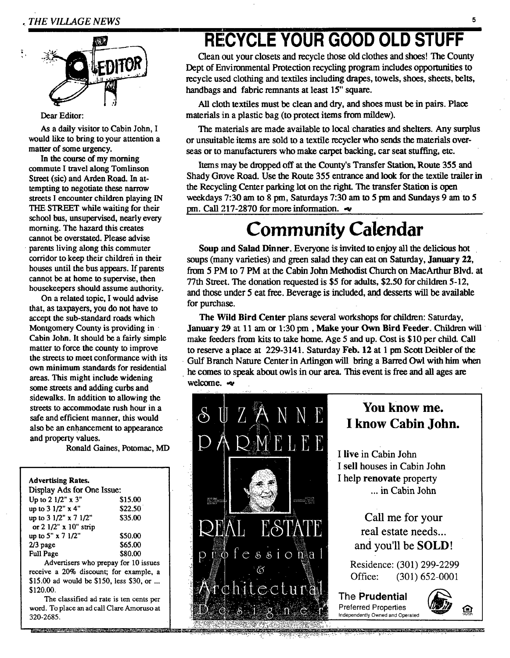

#### Dear Editor:

As a daily visitor to Cabin John, I would like to bring to your attention a matter of some urgency.

In the course of my morning commute I travel along Tomlinson Street (sic) and Arden Road. In attempting to negotiate these narrow streets I encounter children playing IN THE STREET while waiting for their school bus, unsupervised, nearly every morning. The hazard this creates cannot be overstated. Please advise parents living along this commuter corridor to keep their children in their houses until the bus appears. If parents cannot be at home to supervise, then housekeepers should assume authority.

On a related topic, I would advise that, as taxpayers, you do not have to accept the sub-standard roads which Montgomery County is providing in Cabin John. It should be a fairly simple matter to force the county to improve the streets to meet conformance with its own minimum standards for residential areas. This might include widening some streets and adding curbs and sidewalks. In addition to allowing the streets to accommodate rush hour in a safe and efficient manner, this would also be an enhancement to appearance and property values.

Ronald Gaines, Potomac, MD

#### **Advertising Rates.**  Display Ads for One Issue:

| nishias uns ini nile issae.               |         |
|-------------------------------------------|---------|
| Up to 2 1/2" x 3"                         | \$15.00 |
| up to 3 1/2" x 4"                         | \$22.50 |
| up to $3 \frac{1}{2}$ x $7 \frac{1}{2}$ " | \$35.00 |
| or $2 \frac{1}{2}$ " x $10$ " strip       |         |
| up to 5" $x$ 7 1/2"                       | \$50.00 |
| $2/3$ page                                | \$65.00 |
| <b>Full Page</b>                          | \$80.00 |
|                                           |         |

Advertisers who prepay for 10 issues receive a 20% discount; for example, a \$15.00 ad would be \$150, less \$30, or ... \$120.00.

The classified ad rate is ten cents per word. To place an ad call Clare Amoruso at 320-2685.

# **RECYCLE YOUR GOOD OLD STUFF**

Clean out your closets and recycle those old clothes and shoes! The County Dept of Environmental Protection recycling program includes opportunities to recycle used clothing and textiles including drapes, towels, shoes, sheets, belts, handbags and fabric remnants at least 15" square.

All cloth textiles must be clean and dry, and shoes must be in pairs. Place materials in a plastic bag (to protect items from mildew).

The materials are made available to local charaties and shelters. Any surplus or unsuitable items are sold to a textile recycler who sends the materials overseas or to manufacturers who make carpet backing, car seat stuffing, etc.

Items may be dropped off at the County's Transfer Station, Route 355 and Shady Grove Road. Use the Route 355 entrance and look for the textile trailer in the Recycling Center parking lot on the right. The transfer Station is open weekdays 7:30 am to 8 pm, Saturdays 7:30 am to 5 pm and Sundays 9 am to 5 pm. Call 217-2870 for more information.  $\sim$ 

# **Community Calendar**

Soup and Salad Dinner. Everyone is invited to enjoy all the delicious hot soups (many varieties) and green salad they can eat on Saturday, January **22,**  from 5 PM to 7 PM at the Cabin John Methodist Church on MacArthur Blvd. at 77th Street. The donation requested is \$5 for adults, \$2.50 for children 5-12, and those under 5 eat free. Beverage is included, and desserts will be available for purchase.

The Wild Bird Center plans several workshops for children: Saturday, January 29 at 11 am or 1:30 pm, Make your Own Bird Feeder. Children will make feeders from kits to take home. Age 5 and up. Cost is \$10 per child. Call to reserve a place at 229-3141. Saturday Feb. 12 at 1 pm Scott Deibler of the Gulf Branch Nature Center in Aflingon will bring a Barred Owl with him when he comes to speak about owls in our area. This event is free and all ages are welcome. $\sim$